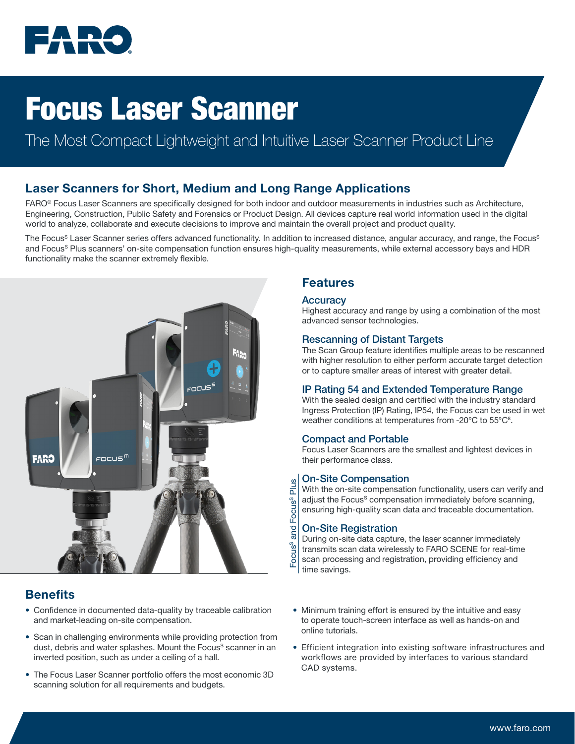

# Focus Laser Scanner

## The Most Compact Lightweight and Intuitive Laser Scanner Product Line

## Laser Scanners for Short, Medium and Long Range Applications

FARO® Focus Laser Scanners are specifically designed for both indoor and outdoor measurements in industries such as Architecture, Engineering, Construction, Public Safety and Forensics or Product Design. All devices capture real world information used in the digital world to analyze, collaborate and execute decisions to improve and maintain the overall project and product quality.

The Focus<sup>S</sup> Laser Scanner series offers advanced functionality. In addition to increased distance, angular accuracy, and range, the Focus<sup>S</sup> and Focus<sup>s</sup> Plus scanners' on-site compensation function ensures high-quality measurements, while external accessory bays and HDR functionality make the scanner extremely flexible.



## **Benefits**

- Confidence in documented data-quality by traceable calibration and market-leading on-site compensation.
- Scan in challenging environments while providing protection from dust, debris and water splashes. Mount the Focus<sup>s</sup> scanner in an inverted position, such as under a ceiling of a hall.
- The Focus Laser Scanner portfolio offers the most economic 3D scanning solution for all requirements and budgets.

### Features

#### **Accuracy**

Highest accuracy and range by using a combination of the most advanced sensor technologies.

#### Rescanning of Distant Targets

The Scan Group feature identifies multiple areas to be rescanned with higher resolution to either perform accurate target detection or to capture smaller areas of interest with greater detail.

#### IP Rating 54 and Extended Temperature Range

With the sealed design and certified with the industry standard Ingress Protection (IP) Rating, IP54, the Focus can be used in wet weather conditions at temperatures from -20°C to 55°C<sup>8</sup>.

#### Compact and Portable

Focus Laser Scanners are the smallest and lightest devices in their performance class.

#### On-Site Compensation

With the on-site compensation functionality, users can verify and adjust the Focus<sup>s</sup> compensation immediately before scanning, ensuring high-quality scan data and traceable documentation.

#### On-Site Registration

Focus<sup>s</sup> and Focus<sup>s</sup> Plus

and

Focus<sup>s</sup>

Focus<sup>s</sup>

Plus

During on-site data capture, the laser scanner immediately transmits scan data wirelessly to FARO SCENE for real-time scan processing and registration, providing efficiency and time savings.

- Minimum training effort is ensured by the intuitive and easy to operate touch-screen interface as well as hands-on and online tutorials.
- Efficient integration into existing software infrastructures and workflows are provided by interfaces to various standard CAD systems.